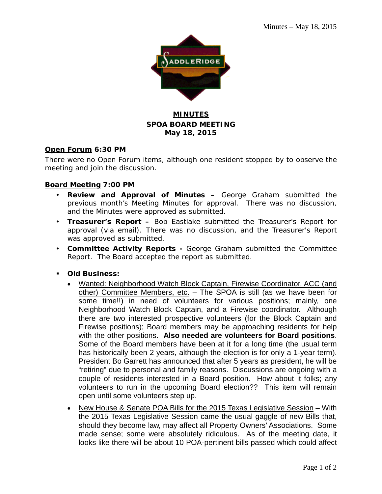

## **MINUTES SPOA BOARD MEETING May 18, 2015**

### **Open Forum 6:30 PM**

There were no Open Forum items, although one resident stopped by to observe the meeting and join the discussion.

## **Board Meeting 7:00 PM**

- **Review and Approval of Minutes –** George Graham submitted the previous month's Meeting Minutes for approval. There was no discussion, and the Minutes were approved as submitted.
- **Treasurer's Report –** Bob Eastlake submitted the Treasurer's Report for approval (via email). There was no discussion, and the Treasurer's Report was approved as submitted.
- **Committee Activity Reports -** George Graham submitted the Committee Report. The Board accepted the report as submitted.
- **Old Business:**
	- Wanted: Neighborhood Watch Block Captain, Firewise Coordinator, ACC (and other) Committee Members, etc. - The SPOA is still (as we have been for some time!!) in need of volunteers for various positions; mainly, one Neighborhood Watch Block Captain, and a Firewise coordinator. Although there are two interested prospective volunteers (for the Block Captain and Firewise positions); Board members may be approaching residents for help with the other positions. **Also needed are volunteers for Board positions**. Some of the Board members have been at it for a long time (the usual term has historically been 2 years, although the election is for only a 1-year term). President Bo Garrett has announced that after 5 years as president, he will be "retiring" due to personal and family reasons. Discussions are ongoing with a couple of residents interested in a Board position. How about it folks; any volunteers to run in the upcoming Board election?? This item will remain open until some volunteers step up.
	- New House & Senate POA Bills for the 2015 Texas Legislative Session With the 2015 Texas Legislative Session came the usual gaggle of new Bills that, should they become law, may affect all Property Owners' Associations. Some made sense; some were absolutely ridiculous. As of the meeting date, it looks like there will be about 10 POA-pertinent bills passed which could affect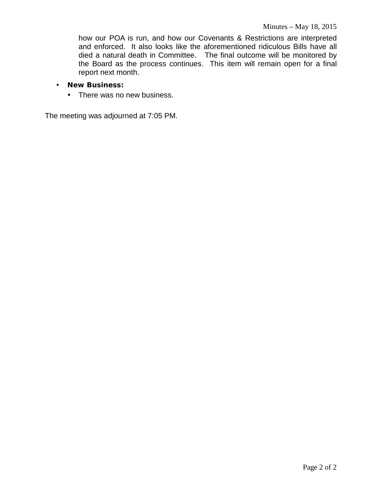how our POA is run, and how our Covenants & Restrictions are interpreted and enforced. It also looks like the aforementioned ridiculous Bills have all died a natural death in Committee. The final outcome will be monitored by the Board as the process continues. This item will remain open for a final report next month.

- **New Business:**
	- There was no new business.

The meeting was adjourned at 7:05 PM.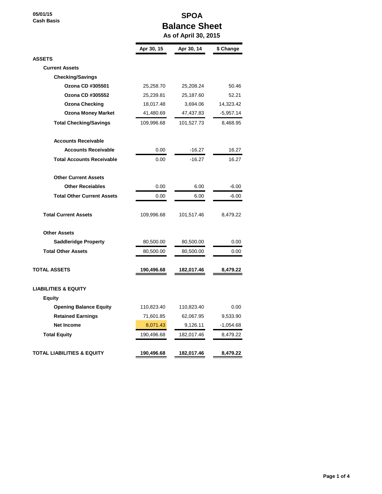**05/01/15 Cash Basis**

## **SPOA Balance Sheet**

 **As of April 30, 2015**

|                                   | Apr 30, 15 | Apr 30, 14 | \$ Change   |
|-----------------------------------|------------|------------|-------------|
| <b>ASSETS</b>                     |            |            |             |
| <b>Current Assets</b>             |            |            |             |
| <b>Checking/Savings</b>           |            |            |             |
| Ozona CD #305501                  | 25,258.70  | 25,208.24  | 50.46       |
| Ozona CD #305552                  | 25,239.81  | 25,187.60  | 52.21       |
| <b>Ozona Checking</b>             | 18,017.48  | 3,694.06   | 14,323.42   |
| <b>Ozona Money Market</b>         | 41,480.69  | 47,437.83  | -5,957.14   |
| <b>Total Checking/Savings</b>     | 109,996.68 | 101,527.73 | 8,468.95    |
| <b>Accounts Receivable</b>        |            |            |             |
| <b>Accounts Receivable</b>        | 0.00       | $-16.27$   | 16.27       |
| <b>Total Accounts Receivable</b>  | 0.00       | $-16.27$   | 16.27       |
| <b>Other Current Assets</b>       |            |            |             |
| <b>Other Receiables</b>           | 0.00       | 6.00       | $-6.00$     |
| <b>Total Other Current Assets</b> | 0.00       | 6.00       | $-6.00$     |
| <b>Total Current Assets</b>       | 109,996.68 | 101,517.46 | 8,479.22    |
| <b>Other Assets</b>               |            |            |             |
| <b>Saddleridge Property</b>       | 80,500.00  | 80,500.00  | 0.00        |
| <b>Total Other Assets</b>         | 80,500.00  | 80,500.00  | 0.00        |
| <b>TOTAL ASSETS</b>               | 190,496.68 | 182,017.46 | 8,479.22    |
| <b>LIABILITIES &amp; EQUITY</b>   |            |            |             |
| <b>Equity</b>                     |            |            |             |
| <b>Opening Balance Equity</b>     | 110,823.40 | 110,823.40 | 0.00        |
| <b>Retained Earnings</b>          | 71,601.85  | 62,067.95  | 9,533.90    |
| <b>Net Income</b>                 | 8,071.43   | 9,126.11   | $-1,054.68$ |
| <b>Total Equity</b>               | 190,496.68 | 182,017.46 | 8,479.22    |
| TOTAL LIABILITIES & EQUITY        | 190,496.68 | 182,017.46 | 8,479.22    |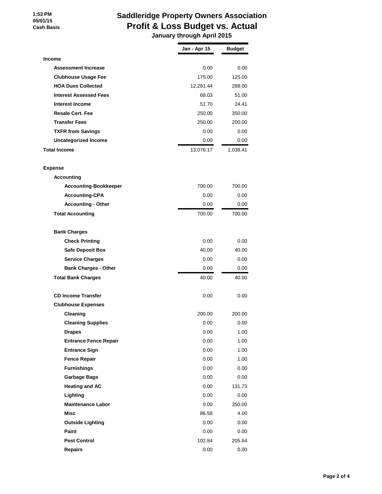#### **1:53 PM 05/01/15 Cash Basis**

# **Saddleridge Property Owners Association Profit & Loss Budget vs. Actual**

 **January through April 2015**

|                               | Jan - Apr 15 | <b>Budget</b> |
|-------------------------------|--------------|---------------|
| Income                        |              |               |
| <b>Assessment Increase</b>    | 0.00         | 0.00          |
| <b>Clubhouse Usage Fee</b>    | 175.00       | 125.00        |
| <b>HOA Dues Collected</b>     | 12,281.44    | 288.00        |
| <b>Interest Assessed Fees</b> | 68.03        | 51.00         |
| <b>Interest Income</b>        | 51.70        | 24.41         |
| <b>Resale Cert. Fee</b>       | 250.00       | 350.00        |
| <b>Transfer Fees</b>          | 250.00       | 200.00        |
| <b>TXFR from Savings</b>      | 0.00         | 0.00          |
| <b>Uncategorized Income</b>   | 0.00         | 0.00          |
| Total Income                  | 13,076.17    | 1,038.41      |
| <b>Expense</b>                |              |               |
| <b>Accounting</b>             |              |               |
| <b>Accounting-Bookkeeper</b>  | 700.00       | 700.00        |
| <b>Accounting-CPA</b>         | 0.00         | 0.00          |
| <b>Accounting - Other</b>     | 0.00         | 0.00          |
| <b>Total Accounting</b>       | 700.00       | 700.00        |
| <b>Bank Charges</b>           |              |               |
| <b>Check Printing</b>         | 0.00         | 0.00          |
| <b>Safe Deposit Box</b>       | 40.00        | 40.00         |
| <b>Service Charges</b>        | 0.00         | 0.00          |
| <b>Bank Charges - Other</b>   | 0.00         | 0.00          |
| <b>Total Bank Charges</b>     | 40.00        | 40.00         |
| <b>CD Income Transfer</b>     | 0.00         | 0.00          |
| <b>Clubhouse Expenses</b>     |              |               |
| Cleaning                      | 200.00       | 200.00        |
| <b>Cleaning Supplies</b>      | 0.00         | 0.00          |
| <b>Drapes</b>                 | 0.00         | 1.00          |
| <b>Entrance Fence Repair</b>  | 0.00         | 1.00          |
| <b>Entrance Sign</b>          | 0.00         | 1.00          |
| <b>Fence Repair</b>           | 0.00         | 1.00          |
| <b>Furnishings</b>            | 0.00         | 0.00          |
| <b>Garbage Bags</b>           | 0.00         | 0.00          |
| <b>Heating and AC</b>         | 0.00         | 131.73        |
| Lighting                      | 0.00         | 0.00          |
| <b>Maintenance Labor</b>      | 0.00         | 350.00        |
| Misc                          | 86.58        | 4.00          |
| <b>Outside Lighting</b>       | 0.00         | $0.00\,$      |
| Paint                         | 0.00         | 0.00          |
| <b>Pest Control</b>           | 102.84       | 205.64        |
| <b>Repairs</b>                | 0.00         | 0.00          |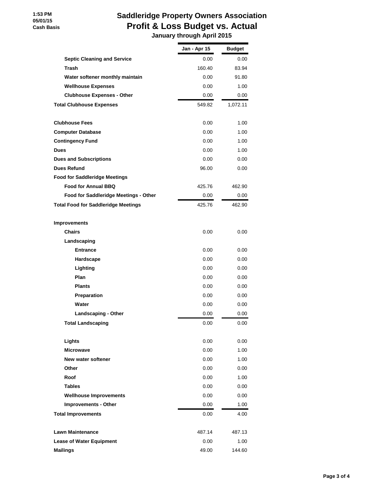#### **1:53 PM 05/01/15 Cash Basis**

# **Saddleridge Property Owners Association Profit & Loss Budget vs. Actual**

 **January through April 2015**

|                                            | Jan - Apr 15 | <b>Budget</b> |
|--------------------------------------------|--------------|---------------|
| <b>Septic Cleaning and Service</b>         | 0.00         | 0.00          |
| Trash                                      | 160.40       | 83.94         |
| Water softener monthly maintain            | 0.00         | 91.80         |
| <b>Wellhouse Expenses</b>                  | 0.00         | 1.00          |
| <b>Clubhouse Expenses - Other</b>          | 0.00         | 0.00          |
| <b>Total Clubhouse Expenses</b>            | 549.82       | 1,072.11      |
|                                            |              |               |
| <b>Clubhouse Fees</b>                      | 0.00         | 1.00          |
| <b>Computer Database</b>                   | 0.00         | 1.00          |
| <b>Contingency Fund</b>                    | 0.00         | 1.00          |
| <b>Dues</b>                                | 0.00         | 1.00          |
| <b>Dues and Subscriptions</b>              | 0.00         | 0.00          |
| <b>Dues Refund</b>                         | 96.00        | 0.00          |
| <b>Food for Saddleridge Meetings</b>       |              |               |
| <b>Food for Annual BBQ</b>                 | 425.76       | 462.90        |
| Food for Saddleridge Meetings - Other      | 0.00         | 0.00          |
| <b>Total Food for Saddleridge Meetings</b> | 425.76       | 462.90        |
|                                            |              |               |
| <b>Improvements</b>                        |              |               |
| Chairs                                     | 0.00         | 0.00          |
| Landscaping                                |              |               |
| <b>Entrance</b>                            | 0.00         | 0.00          |
| Hardscape                                  | 0.00         | 0.00          |
| Lighting                                   | 0.00         | 0.00          |
| Plan                                       | 0.00         | 0.00          |
| <b>Plants</b>                              | 0.00         | 0.00          |
| Preparation                                | 0.00         | 0.00          |
| Water                                      | 0.00         | 0.00          |
| <b>Landscaping - Other</b>                 | 0.00         | 0.00          |
| Total Landscaping                          | 0.00         | 0.00          |
| Lights                                     | 0.00         | 0.00          |
| <b>Microwave</b>                           | 0.00         | 1.00          |
| New water softener                         | 0.00         | 1.00          |
| Other                                      | 0.00         | 0.00          |
| Roof                                       | 0.00         | 1.00          |
| <b>Tables</b>                              | 0.00         | 0.00          |
| <b>Wellhouse Improvements</b>              | 0.00         | 0.00          |
| <b>Improvements - Other</b>                | 0.00         | 1.00          |
| <b>Total Improvements</b>                  | $0.00\,$     | 4.00          |
|                                            |              |               |
| <b>Lawn Maintenance</b>                    | 487.14       | 487.13        |
| <b>Lease of Water Equipment</b>            | 0.00         | 1.00          |
| <b>Mailings</b>                            | 49.00        | 144.60        |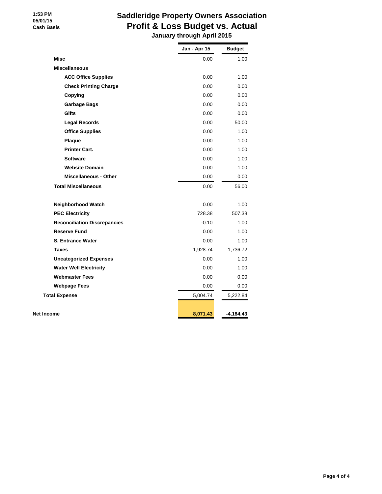# **Saddleridge Property Owners Association Profit & Loss Budget vs. Actual**

 **January through April 2015**

|                                     | Jan - Apr 15 | <b>Budget</b> |
|-------------------------------------|--------------|---------------|
| <b>Misc</b>                         | 0.00         | 1.00          |
| <b>Miscellaneous</b>                |              |               |
| <b>ACC Office Supplies</b>          | 0.00         | 1.00          |
| <b>Check Printing Charge</b>        | 0.00         | 0.00          |
| Copying                             | 0.00         | 0.00          |
| <b>Garbage Bags</b>                 | 0.00         | 0.00          |
| <b>Gifts</b>                        | 0.00         | 0.00          |
| <b>Legal Records</b>                | 0.00         | 50.00         |
| <b>Office Supplies</b>              | 0.00         | 1.00          |
| <b>Plaque</b>                       | 0.00         | 1.00          |
| <b>Printer Cart.</b>                | 0.00         | 1.00          |
| <b>Software</b>                     | 0.00         | 1.00          |
| <b>Website Domain</b>               | 0.00         | 1.00          |
| <b>Miscellaneous - Other</b>        | 0.00         | 0.00          |
| <b>Total Miscellaneous</b>          | 0.00         | 56.00         |
| Neighborhood Watch                  | 0.00         | 1.00          |
| <b>PEC Electricity</b>              | 728.38       | 507.38        |
| <b>Reconciliation Discrepancies</b> | $-0.10$      | 1.00          |
| <b>Reserve Fund</b>                 | 0.00         | 1.00          |
| <b>S. Entrance Water</b>            | 0.00         | 1.00          |
| <b>Taxes</b>                        | 1,928.74     | 1,736.72      |
| <b>Uncategorized Expenses</b>       | 0.00         | 1.00          |
| <b>Water Well Electricity</b>       | 0.00         | 1.00          |
| <b>Webmaster Fees</b>               | 0.00         | 0.00          |
| <b>Webpage Fees</b>                 | 0.00         | 0.00          |
| <b>Total Expense</b>                | 5,004.74     | 5,222.84      |
|                                     |              |               |
| Net Income                          | 8,071.43     | $-4,184.43$   |

 **1:53 PM 05/01/15 Cash Basis**